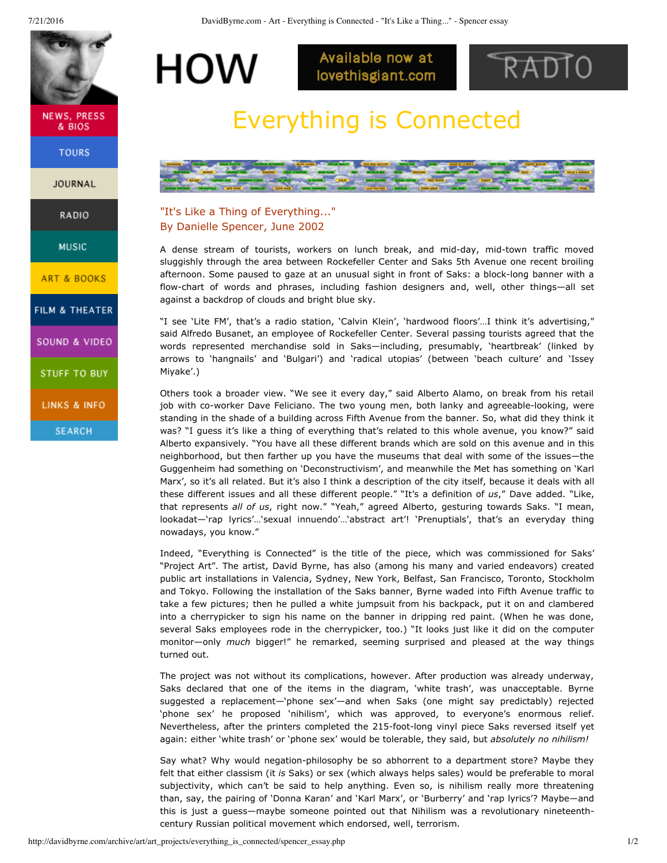<span id="page-0-0"></span>

**NEWS, PRESS** & BIOS

**TOURS** 

**JOURNAL** 

RADIO

**MUSIC** 

**ART & BOOKS** 

FILM & THEATER

SOUND & VIDEO

**STUFF TO BUY** 

LINKS & INFO

**SEARCH** 

Available now at lovethisgiant.com



## Everything is Connected



## "It's Like a Thing of Everything..." By Danielle Spencer, June 2002

HOW

A dense stream of tourists, workers on lunch break, and mid-day, mid-town traffic moved sluggishly through the area between Rockefeller Center and Saks 5th Avenue one recent broiling afternoon. Some paused to gaze at an unusual sight in front of Saks: a block-long banner with a flow-chart of words and phrases, including fashion designers and, well, other things-all set against a backdrop of clouds and bright blue sky.

"I see 'Lite FM', that's a radio station, 'Calvin Klein', 'hardwood floors'…I think it's advertising," said Alfredo Busanet, an employee of Rockefeller Center. Several passing tourists agreed that the words represented merchandise sold in Saks—including, presumably, 'heartbreak' (linked by arrows to 'hangnails' and 'Bulgari') and 'radical utopias' (between 'beach culture' and 'Issey Miyake'.)

Others took a broader view. "We see it every day," said Alberto Alamo, on break from his retail job with co-worker Dave Feliciano. The two young men, both lanky and agreeable-looking, were standing in the shade of a building across Fifth Avenue from the banner. So, what did they think it was? "I guess it's like a thing of everything that's related to this whole avenue, you know?" said Alberto expansively. "You have all these different brands which are sold on this avenue and in this neighborhood, but then farther up you have the museums that deal with some of the issues—the Guggenheim had something on 'Deconstructivism', and meanwhile the Met has something on 'Karl Marx', so it's all related. But it's also I think a description of the city itself, because it deals with all these different issues and all these different people." "It's a definition of *us*," Dave added. "Like, that represents *all of us*, right now." "Yeah," agreed Alberto, gesturing towards Saks. "I mean, lookadat—'rap lyrics'…'sexual innuendo'…'abstract art'! 'Prenuptials', that's an everyday thing nowadays, you know."

Indeed, "Everything is Connected" is the title of the piece, which was commissioned for Saks' "Project Art". The artist, David Byrne, has also (among his many and varied endeavors) created public art installations in Valencia, Sydney, New York, Belfast, San Francisco, Toronto, Stockholm and Tokyo. Following the installation of the Saks banner, Byrne waded into Fifth Avenue traffic to take a few pictures; then he pulled a white jumpsuit from his backpack, put it on and clambered into a cherrypicker to sign his name on the banner in dripping red paint. (When he was done, several Saks employees rode in the cherrypicker, too.) "It looks just like it did on the computer monitor—only *much* bigger!" he remarked, seeming surprised and pleased at the way things turned out.

The project was not without its complications, however. After production was already underway, Saks declared that one of the items in the diagram, 'white trash', was unacceptable. Byrne suggested a replacement—'phone sex'—and when Saks (one might say predictably) rejected 'phone sex' he proposed 'nihilism', which was approved, to everyone's enormous relief. Nevertheless, after the printers completed the 215-foot-long vinyl piece Saks reversed itself yet again: either 'white trash' or 'phone sex' would be tolerable, they said, but *absolutely no nihilism!*

Say what? Why would negation-philosophy be so abhorrent to a department store? Maybe they felt that either classism (it *is* Saks) or sex (which always helps sales) would be preferable to moral subjectivity, which can't be said to help anything. Even so, is nihilism really more threatening than, say, the pairing of 'Donna Karan' and 'Karl Marx', or 'Burberry' and 'rap lyrics'? Maybe—and this is just a guess—maybe someone pointed out that Nihilism was a revolutionary nineteenthcentury Russian political movement which endorsed, well, terrorism.